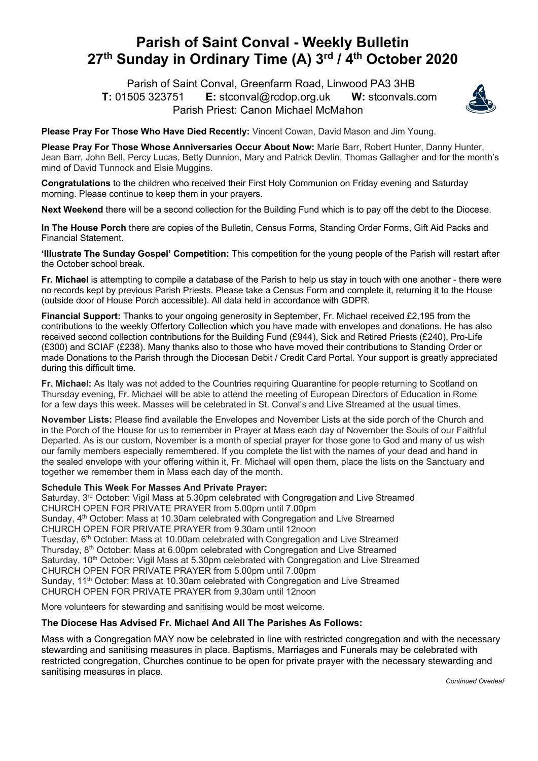## **Parish of Saint Conval - Weekly Bulletin 27th Sunday in Ordinary Time (A) 3rd / 4th October 2020**

 Parish of Saint Conval, Greenfarm Road, Linwood PA3 3HB **T:** 01505 323751 **E:** stconval@rcdop.org.uk **W:** stconvals.com Parish Priest: Canon Michael McMahon



**Please Pray For Those Who Have Died Recently:** Vincent Cowan, David Mason and Jim Young.

**Please Pray For Those Whose Anniversaries Occur About Now:** Marie Barr, Robert Hunter, Danny Hunter, Jean Barr, John Bell, Percy Lucas, Betty Dunnion, Mary and Patrick Devlin, Thomas Gallagher and for the month's mind of David Tunnock and Elsie Muggins.

**Congratulations** to the children who received their First Holy Communion on Friday evening and Saturday morning. Please continue to keep them in your prayers.

**Next Weekend** there will be a second collection for the Building Fund which is to pay off the debt to the Diocese.

**In The House Porch** there are copies of the Bulletin, Census Forms, Standing Order Forms, Gift Aid Packs and Financial Statement.

**'Illustrate The Sunday Gospel' Competition:** This competition for the young people of the Parish will restart after the October school break.

**Fr. Michael** is attempting to compile a database of the Parish to help us stay in touch with one another - there were no records kept by previous Parish Priests. Please take a Census Form and complete it, returning it to the House (outside door of House Porch accessible). All data held in accordance with GDPR.

**Financial Support:** Thanks to your ongoing generosity in September, Fr. Michael received £2,195 from the contributions to the weekly Offertory Collection which you have made with envelopes and donations. He has also received second collection contributions for the Building Fund (£944), Sick and Retired Priests (£240), Pro-Life (£300) and SCIAF (£238). Many thanks also to those who have moved their contributions to Standing Order or made Donations to the Parish through the Diocesan Debit / Credit Card Portal. Your support is greatly appreciated during this difficult time.

**Fr. Michael:** As Italy was not added to the Countries requiring Quarantine for people returning to Scotland on Thursday evening, Fr. Michael will be able to attend the meeting of European Directors of Education in Rome for a few days this week. Masses will be celebrated in St. Conval's and Live Streamed at the usual times.

**November Lists:** Please find available the Envelopes and November Lists at the side porch of the Church and in the Porch of the House for us to remember in Prayer at Mass each day of November the Souls of our Faithful Departed. As is our custom, November is a month of special prayer for those gone to God and many of us wish our family members especially remembered. If you complete the list with the names of your dead and hand in the sealed envelope with your offering within it, Fr. Michael will open them, place the lists on the Sanctuary and together we remember them in Mass each day of the month.

## **Schedule This Week For Masses And Private Prayer:**

Saturday, 3<sup>rd</sup> October: Vigil Mass at 5.30pm celebrated with Congregation and Live Streamed CHURCH OPEN FOR PRIVATE PRAYER from 5.00pm until 7.00pm Sunday, 4<sup>th</sup> October: Mass at 10.30am celebrated with Congregation and Live Streamed CHURCH OPEN FOR PRIVATE PRAYER from 9.30am until 12noon Tuesday, 6th October: Mass at 10.00am celebrated with Congregation and Live Streamed Thursday, 8th October: Mass at 6.00pm celebrated with Congregation and Live Streamed Saturday, 10<sup>th</sup> October: Vigil Mass at 5.30pm celebrated with Congregation and Live Streamed CHURCH OPEN FOR PRIVATE PRAYER from 5.00pm until 7.00pm Sunday, 11<sup>th</sup> October: Mass at 10.30am celebrated with Congregation and Live Streamed CHURCH OPEN FOR PRIVATE PRAYER from 9.30am until 12noon

More volunteers for stewarding and sanitising would be most welcome.

## **The Diocese Has Advised Fr. Michael And All The Parishes As Follows:**

Mass with a Congregation MAY now be celebrated in line with restricted congregation and with the necessary stewarding and sanitising measures in place. Baptisms, Marriages and Funerals may be celebrated with restricted congregation, Churches continue to be open for private prayer with the necessary stewarding and sanitising measures in place.